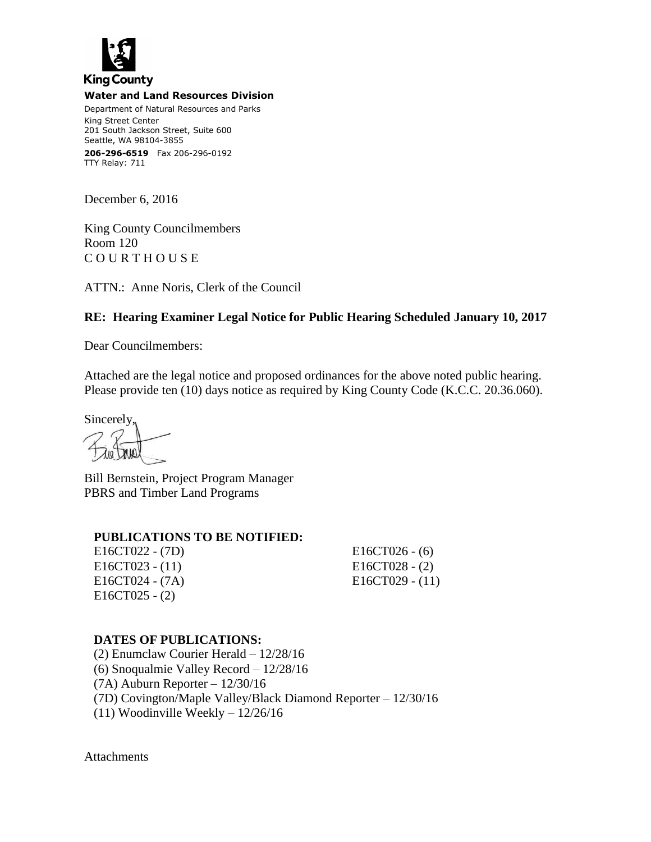

#### **Water and Land Resources Division**

Department of Natural Resources and Parks King Street Center 201 South Jackson Street, Suite 600 Seattle, WA 98104-3855 **206-296-6519** Fax 206-296-0192 TTY Relay: 711

December 6, 2016

King County Councilmembers Room 120 C O U R T H O U S E

ATTN.: Anne Noris, Clerk of the Council

# **RE: Hearing Examiner Legal Notice for Public Hearing Scheduled January 10, 2017**

Dear Councilmembers:

Attached are the legal notice and proposed ordinances for the above noted public hearing. Please provide ten (10) days notice as required by King County Code (K.C.C. 20.36.060).

Sincerely,

Bill Bernstein, Project Program Manager PBRS and Timber Land Programs

## **PUBLICATIONS TO BE NOTIFIED:**

E16CT022 - (7D) E16CT026 - (6) E16CT023 - (11) E16CT028 - (2) E16CT024 - (7A) E16CT029 - (11) E16CT025 - (2)

## **DATES OF PUBLICATIONS:**

(2) Enumclaw Courier Herald – 12/28/16 (6) Snoqualmie Valley Record – 12/28/16 (7A) Auburn Reporter – 12/30/16 (7D) Covington/Maple Valley/Black Diamond Reporter – 12/30/16 (11) Woodinville Weekly – 12/26/16

Attachments